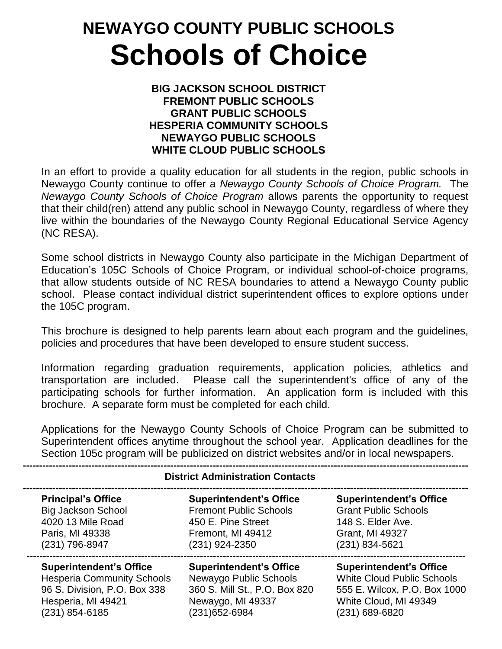# **NEWAYGO COUNTY PUBLIC SCHOOLS Schools of Choice**

#### **BIG JACKSON SCHOOL DISTRICT FREMONT PUBLIC SCHOOLS GRANT PUBLIC SCHOOLS HESPERIA COMMUNITY SCHOOLS NEWAYGO PUBLIC SCHOOLS WHITE CLOUD PUBLIC SCHOOLS**

In an effort to provide a quality education for all students in the region, public schools in Newaygo County continue to offer a *Newaygo County Schools of Choice Program.* The *Newaygo County Schools of Choice Program* allows parents the opportunity to request that their child(ren) attend any public school in Newaygo County, regardless of where they live within the boundaries of the Newaygo County Regional Educational Service Agency (NC RESA).

Some school districts in Newaygo County also participate in the Michigan Department of Education's 105C Schools of Choice Program, or individual school-of-choice programs, that allow students outside of NC RESA boundaries to attend a Newaygo County public school. Please contact individual district superintendent offices to explore options under the 105C program.

This brochure is designed to help parents learn about each program and the guidelines, policies and procedures that have been developed to ensure student success.

Information regarding graduation requirements, application policies, athletics and transportation are included. Please call the superintendent's office of any of the participating schools for further information. An application form is included with this brochure. A separate form must be completed for each child.

Applications for the Newaygo County Schools of Choice Program can be submitted to Superintendent offices anytime throughout the school year. Application deadlines for the Section 105c program will be publicized on district websites and/or in local newspapers.

| <b>District Administration Contacts</b> |                                |                                   |
|-----------------------------------------|--------------------------------|-----------------------------------|
| <b>Principal's Office</b>               | <b>Superintendent's Office</b> | <b>Superintendent's Office</b>    |
| <b>Big Jackson School</b>               | <b>Fremont Public Schools</b>  | <b>Grant Public Schools</b>       |
| 4020 13 Mile Road                       | 450 E. Pine Street             | 148 S. Elder Ave.                 |
| Paris, MI 49338                         | Fremont, MI 49412              | Grant, MI 49327                   |
| (231) 796-8947                          | $(231)$ 924-2350               | $(231) 834 - 5621$                |
| <b>Superintendent's Office</b>          | <b>Superintendent's Office</b> | <b>Superintendent's Office</b>    |
| <b>Hesperia Community Schools</b>       | Newaygo Public Schools         | <b>White Cloud Public Schools</b> |
| 96 S. Division, P.O. Box 338            | 360 S. Mill St., P.O. Box 820  | 555 E. Wilcox, P.O. Box 1000      |
| Hesperia, MI 49421                      | Newaygo, MI 49337              | White Cloud, MI 49349             |
| (231) 854-6185                          | (231) 652-6984                 | (231) 689-6820                    |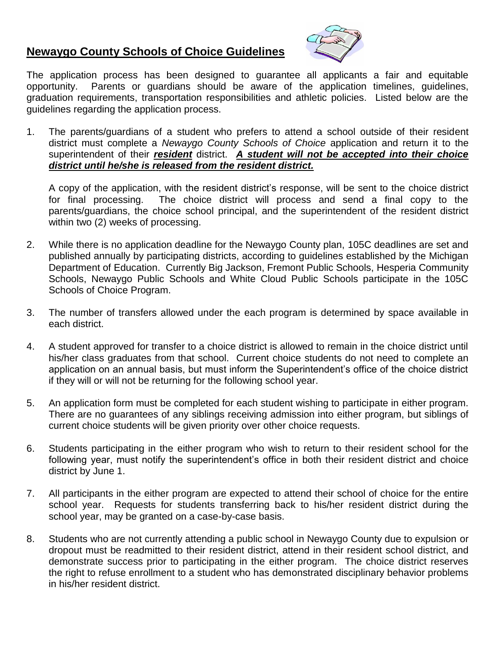### **Newaygo County Schools of Choice Guidelines**



The application process has been designed to guarantee all applicants a fair and equitable opportunity. Parents or guardians should be aware of the application timelines, guidelines, graduation requirements, transportation responsibilities and athletic policies. Listed below are the guidelines regarding the application process.

1. The parents/guardians of a student who prefers to attend a school outside of their resident district must complete a *Newaygo County Schools of Choice* application and return it to the superintendent of their *resident* district. *A student will not be accepted into their choice district until he/she is released from the resident district.*

A copy of the application, with the resident district's response, will be sent to the choice district for final processing. The choice district will process and send a final copy to the parents/guardians, the choice school principal, and the superintendent of the resident district within two (2) weeks of processing.

- 2. While there is no application deadline for the Newaygo County plan, 105C deadlines are set and published annually by participating districts, according to guidelines established by the Michigan Department of Education. Currently Big Jackson, Fremont Public Schools, Hesperia Community Schools, Newaygo Public Schools and White Cloud Public Schools participate in the 105C Schools of Choice Program.
- 3. The number of transfers allowed under the each program is determined by space available in each district.
- 4. A student approved for transfer to a choice district is allowed to remain in the choice district until his/her class graduates from that school. Current choice students do not need to complete an application on an annual basis, but must inform the Superintendent's office of the choice district if they will or will not be returning for the following school year.
- 5. An application form must be completed for each student wishing to participate in either program. There are no guarantees of any siblings receiving admission into either program, but siblings of current choice students will be given priority over other choice requests.
- 6. Students participating in the either program who wish to return to their resident school for the following year, must notify the superintendent's office in both their resident district and choice district by June 1.
- 7. All participants in the either program are expected to attend their school of choice for the entire school year. Requests for students transferring back to his/her resident district during the school year, may be granted on a case-by-case basis.
- 8. Students who are not currently attending a public school in Newaygo County due to expulsion or dropout must be readmitted to their resident district, attend in their resident school district, and demonstrate success prior to participating in the either program. The choice district reserves the right to refuse enrollment to a student who has demonstrated disciplinary behavior problems in his/her resident district.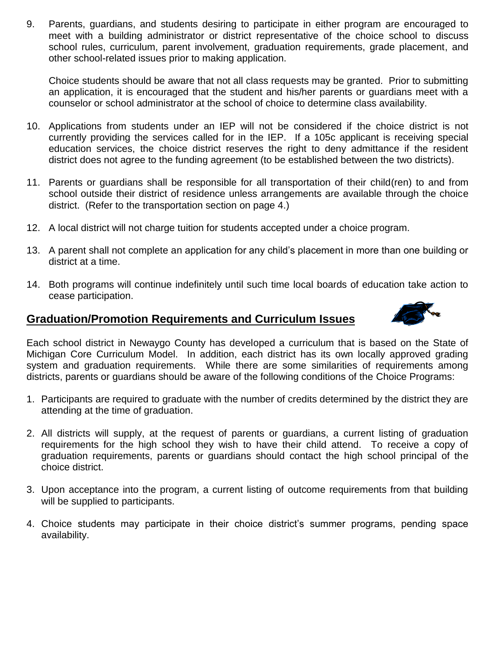9. Parents, guardians, and students desiring to participate in either program are encouraged to meet with a building administrator or district representative of the choice school to discuss school rules, curriculum, parent involvement, graduation requirements, grade placement, and other school-related issues prior to making application.

Choice students should be aware that not all class requests may be granted. Prior to submitting an application, it is encouraged that the student and his/her parents or guardians meet with a counselor or school administrator at the school of choice to determine class availability.

- 10. Applications from students under an IEP will not be considered if the choice district is not currently providing the services called for in the IEP. If a 105c applicant is receiving special education services, the choice district reserves the right to deny admittance if the resident district does not agree to the funding agreement (to be established between the two districts).
- 11. Parents or guardians shall be responsible for all transportation of their child(ren) to and from school outside their district of residence unless arrangements are available through the choice district. (Refer to the transportation section on page 4.)
- 12. A local district will not charge tuition for students accepted under a choice program.
- 13. A parent shall not complete an application for any child's placement in more than one building or district at a time.
- 14. Both programs will continue indefinitely until such time local boards of education take action to cease participation.

#### **Graduation/Promotion Requirements and Curriculum Issues**



Each school district in Newaygo County has developed a curriculum that is based on the State of Michigan Core Curriculum Model. In addition, each district has its own locally approved grading system and graduation requirements. While there are some similarities of requirements among districts, parents or guardians should be aware of the following conditions of the Choice Programs:

- 1. Participants are required to graduate with the number of credits determined by the district they are attending at the time of graduation.
- 2. All districts will supply, at the request of parents or guardians, a current listing of graduation requirements for the high school they wish to have their child attend. To receive a copy of graduation requirements, parents or guardians should contact the high school principal of the choice district.
- 3. Upon acceptance into the program, a current listing of outcome requirements from that building will be supplied to participants.
- 4. Choice students may participate in their choice district's summer programs, pending space availability.